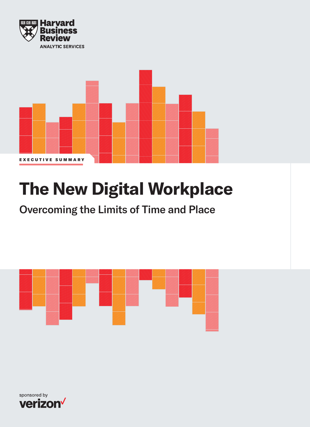



# **The New Digital Workplace**

Overcoming the Limits of Time and Place



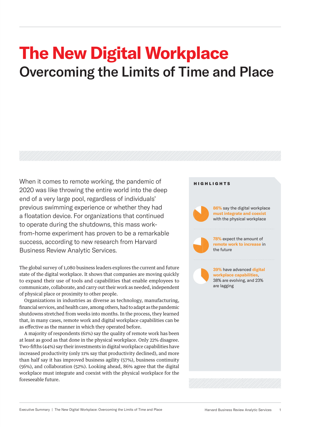## **The New Digital Workplace** Overcoming the Limits of Time and Place

When it comes to remote working, the pandemic of 2020 was like throwing the entire world into the deep end of a very large pool, regardless of individuals' previous swimming experience or whether they had a floatation device. For organizations that continued to operate during the shutdowns, this mass workfrom-home experiment has proven to be a remarkable success, according to new research from Harvard Business Review Analytic Services.

The global survey of 1,080 business leaders explores the current and future state of the digital workplace. It shows that companies are moving quickly to expand their use of tools and capabilities that enable employees to communicate, collaborate, and carry out their work as needed, independent of physical place or proximity to other people.

Organizations in industries as diverse as technology, manufacturing, financial services, and health care, among others, had to adapt as the pandemic shutdowns stretched from weeks into months. In the process, they learned that, in many cases, remote work and digital workplace capabilities can be as effective as the manner in which they operated before.

A majority of respondents (61%) say the quality of remote work has been at least as good as that done in the physical workplace. Only 22% disagree. Two-fifths (44%) say their investments in digital workplace capabilities have increased productivity (only 11% say that productivity declined), and more than half say it has improved business agility (57%), business continuity (56%), and collaboration (52%). Looking ahead, 86% agree that the digital workplace must integrate and coexist with the physical workplace for the foreseeable future.

### HIGHLIGHTS

**86%** say the digital workplace **must integrate and coexist**  with the physical workplace



**78%** expect the amount of **remote work to increase** in the future

**39%** have advanced **digital workplace capabilities**, 38% are evolving, and 23% are lagging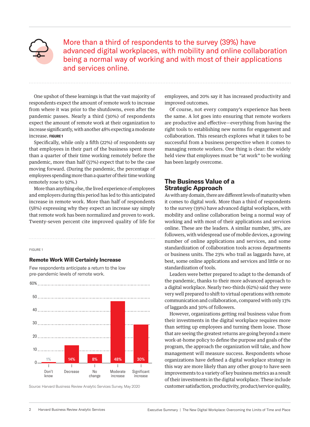

More than a third of respondents to the survey (39%) have advanced digital workplaces, with mobility and online collaboration being a normal way of working and with most of their applications and services online.

One upshot of these learnings is that the vast majority of respondents expect the amount of remote work to increase from where it was prior to the shutdowns, even after the pandemic passes. Nearly a third (30%) of respondents expect the amount of remote work at their organization to increase significantly, with another 48% expecting a moderate increase. **FIGURE 1**

Specifically, while only a fifth (22%) of respondents say that employees in their part of the business spent more than a quarter of their time working remotely before the pandemic, more than half (57%) expect that to be the case moving forward. (During the pandemic, the percentage of employees spending more than a quarter of their time working remotely rose to 92%.)

More than anything else, the lived experience of employees and employers during this period has led to this anticipated increase in remote work. More than half of respondents (58%) expressing why they expect an increase say simply that remote work has been normalized and proven to work. Twenty-seven percent cite improved quality of life for

#### FIGURE 1

#### **Remote Work Will Certainly Increase**

Few respondents anticipate a return to the low pre-pandemic levels of remote work.



Source: Harvard Business Review Analytic Services Survey, May 2020

employees, and 20% say it has increased productivity and improved outcomes.

Of course, not every company's experience has been the same. A lot goes into ensuring that remote workers are productive and effective—everything from having the right tools to establishing new norms for engagement and collaboration. This research explores what it takes to be successful from a business perspective when it comes to managing remote workers. One thing is clear: the widely held view that employees must be "at work" to be working has been largely overcome.

## **The Business Value of a Strategic Approach**

As with any domain, there are different levels of maturity when it comes to digital work. More than a third of respondents to the survey (39%) have advanced digital workplaces, with mobility and online collaboration being a normal way of working and with most of their applications and services online. These are the leaders. A similar number, 38%, are followers, with widespread use of mobile devices, a growing number of online applications and services, and some standardization of collaboration tools across departments or business units. The 23% who trail as laggards have, at best, some online applications and services and little or no standardization of tools.

Leaders were better prepared to adapt to the demands of the pandemic, thanks to their more advanced approach to a digital workplace. Nearly two-thirds (62%) said they were very well prepared to shift to virtual operations with remote communication and collaboration, compared with only 13% of laggards and 30% of followers.

However, organizations getting real business value from their investments in the digital workplace requires more than setting up employees and turning them loose. Those that are seeing the greatest returns are going beyond a mere work-at-home policy to define the purpose and goals of the program, the approach the organization will take, and how management will measure success. Respondents whose organizations have defined a digital workplace strategy in this way are more likely than any other group to have seen improvements to a variety of key business metrics as a result of their investments in the digital workplace. These include customer satisfaction, productivity, product/service quality,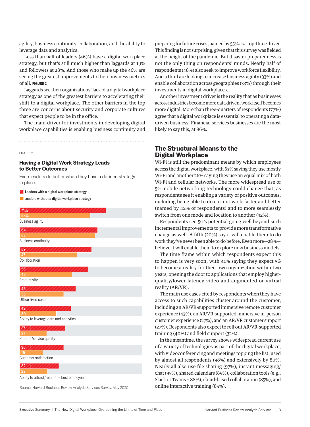agility, business continuity, collaboration, and the ability to leverage data and analytics.

Less than half of leaders (46%) have a digital workplace strategy, but that's still much higher than laggards at 19% and followers at 28%. And those who make up the 46% are seeing the greatest improvements to their business metrics of all. **FIGURE 2**

Laggards see their organizations' lack of a digital workplace strategy as one of the greatest barriers to accelerating their shift to a digital workplace. The other barriers in the top three are concerns about security and corporate cultures that expect people to be in the office.

The main driver for investments in developing digital workplace capabilities is enabling business continuity and

FIGURE 2

## **Having a Digital Work Strategy Leads to Better Outcomes**

Even leaders do better when they have a defined strategy in place.

**Z** Leaders with a digital workplace strategy

■ Leaders without a digital workplace strategy



Source: Harvard Business Review Analytic Services Survey, May 2020

preparing for future crises, named by 55% as a top-three driver. This finding is not surprising, given that this survey was fielded at the height of the pandemic. But disaster preparedness is not the only thing on respondents' minds. Nearly half of respondents (48%) also seek to improve workforce flexibility. And a third are looking to increase business agility (33%) and enable collaboration across geographies (33%) through their investments in digital workplaces.

Another investment driver is the reality that as businesses across industries become more data driven, work itself becomes more digital. More than three-quarters of respondents (77%) agree that a digital workplace is essential to operating a datadriven business. Financial services businesses are the most likely to say this, at 86%.

## **The Structural Means to the Digital Workplace**

Wi-Fi is still the predominant means by which employees access the digital workplace, with 63% saying they use mostly Wi-Fi and another 26% saying they use an equal mix of both Wi-Fi and cellular networks. The more widespread use of 5G mobile networking technology could change that, as respondents see it enabling a variety of positive outcomes, including being able to do current work faster and better (named by 42% of respondents) and to more seamlessly switch from one mode and location to another (32%).

Respondents see 5G's potential going well beyond such incremental improvements to provide more transformative change as well. A fifth (20%) say it will enable them to do work they've never been able to do before. Even more—28% believe it will enable them to explore new business models.

The time frame within which respondents expect this to happen is very soon, with 41% saying they expect 5G to become a reality for their own organization within two years, opening the door to applications that employ higherquality/lower-latency video and augmented or virtual reality (AR/VR).

The main use cases cited by respondents when they have access to such capabilities cluster around the customer, including an AR/VR-supported immersive remote customer experience (43%), an AR/VR-supported immersive in-person customer experience (27%), and an AR/VR customer support (27%). Respondents also expect to roll out AR/VR-supported training (40%) and field support (32%).

In the meantime, the survey shows widespread current use of a variety of technologies as part of the digital workplace, with videoconferencing and meetings topping the list, used by almost all respondents (98%) and extensively by 80%. Nearly all also use file sharing (97%), instant messaging/ chat (95%), shared calendars (89%), collaboration tools (e.g., Slack or Teams – 88%), cloud-based collaboration (85%), and online interactive training (85%).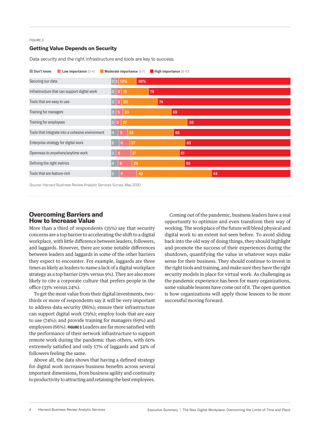#### FIGURE 3

### **Getting Value Depends on Security**

Data security and the right infrastructure and tools are key to success.



Source: Harvard Business Review Analytic Services Survey, May 2020

## **Overcoming Barriers and How to Increase Value**

More than a third of respondents (35%) say that security concerns are a top barrier to accelerating the shift to a digital workplace, with little difference between leaders, followers, and laggards. However, there are some notable differences between leaders and laggards in some of the other barriers they expect to encounter. For example, laggards are three times as likely as leaders to name a lack of a digital workplace strategy as a top barrier (29% versus 9%). They are also more likely to cite a corporate culture that prefers people in the office (33% versus 24%).

To get the most value from their digital investments, twothirds or more of respondents say it will be very important to address data security (86%); ensure their infrastructure can support digital work (79%); employ tools that are easy to use (74%); and provide training for managers (69%) and employees (66%). **FIGURE 3** Leaders are far more satisfied with the performance of their network infrastructure to support remote work during the pandemic than others, with 60% extremely satisfied and only 17% of laggards and 34% of followers feeling the same.

Above all, the data shows that having a defined strategy for digital work increases business benefits across several important dimensions, from business agility and continuity to productivity to attracting and retaining the best employees.

Coming out of the pandemic, business leaders have a real opportunity to optimize and even transform their way of working. The workplace of the future will blend physical and digital work to an extent not seen before. To avoid sliding back into the old way of doing things, they should highlight and promote the success of their experiences during the shutdown, quantifying the value in whatever ways make sense for their business. They should continue to invest in the right tools and training, and make sure they have the right security models in place for virtual work. As challenging as the pandemic experience has been for many organizations, some valuable lessons have come out of it. The open question is how organizations will apply those lessons to be more successful moving forward.